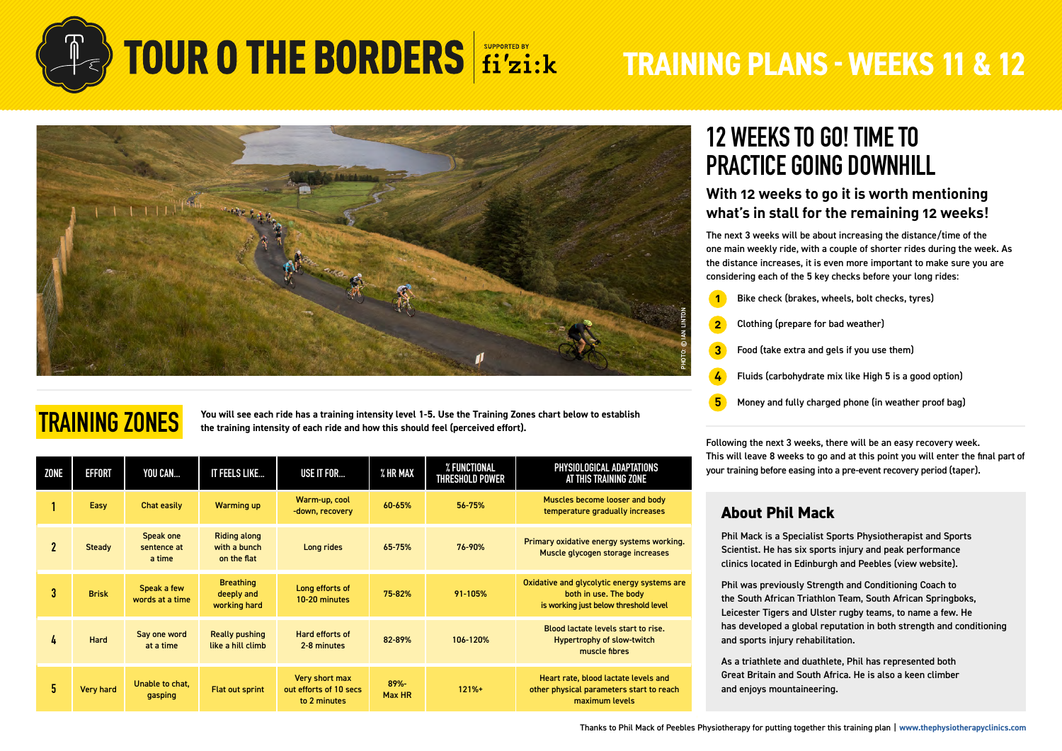



### **TRAINING ZONES**

**You will see each ride has a training intensity level 1-5. Use the Training Zones chart below to establish the training intensity of each ride and how this should feel (perceived effort).**

| ZONE         | <b>EFFORT</b>    | YOU CAN                            | IT FEELS LIKE                                      | USE IT FOR                                               | $\boldsymbol{\%}$ HR MAX | % FUNCTIONAL<br><b>THRESHOLD POWER</b> | PHYSIOLOGICAL ADAPTATIONS<br>AT THIS TRAINING ZONE                                                            |
|--------------|------------------|------------------------------------|----------------------------------------------------|----------------------------------------------------------|--------------------------|----------------------------------------|---------------------------------------------------------------------------------------------------------------|
|              | Easy             | Chat easily                        | <b>Warming up</b>                                  | Warm-up, cool<br>-down, recovery                         | 60-65%                   | 56-75%                                 | Muscles become looser and body<br>temperature gradually increases                                             |
| $\mathbf{2}$ | <b>Steady</b>    | Speak one<br>sentence at<br>a time | <b>Riding along</b><br>with a bunch<br>on the flat | Long rides                                               | 65-75%                   | 76-90%                                 | Primary oxidative energy systems working.<br>Muscle glycogen storage increases                                |
| 3            | <b>Brisk</b>     | Speak a few<br>words at a time     | <b>Breathing</b><br>deeply and<br>working hard     | Long efforts of<br>10-20 minutes                         | 75-82%                   | 91-105%                                | Oxidative and glycolytic energy systems are<br>both in use. The body<br>is working just below threshold level |
| 4            | <b>Hard</b>      | Say one word<br>at a time          | <b>Really pushing</b><br>like a hill climb         | Hard efforts of<br>2-8 minutes                           | 82-89%                   | 106-120%                               | Blood lactate levels start to rise.<br><b>Hypertrophy of slow-twitch</b><br>muscle fibres                     |
| 5.           | <b>Very hard</b> | Unable to chat,<br>gasping         | <b>Flat out sprint</b>                             | Very short max<br>out efforts of 10 secs<br>to 2 minutes | 89%-<br>Max HR           | $121% +$                               | Heart rate, blood lactate levels and<br>other physical parameters start to reach<br>maximum levels            |

### **12 WEEKS TO GO! TIME TO PRACTICE GOING DOWNHILL**

### **With 12 weeks to go it is worth mentioning what's in stall for the remaining 12 weeks!**

The next 3 weeks will be about increasing the distance/time of the one main weekly ride, with a couple of shorter rides during the week. As the distance increases, it is even more important to make sure you are considering each of the 5 key checks before your long rides:

- **1** Bike check (brakes, wheels, bolt checks, tyres)
- **2** Clothing (prepare for bad weather)
- **3** Food (take extra and gels if you use them)
- **4** Fluids (carbohydrate mix like High 5 is a good option)
- **5** Money and fully charged phone (in weather proof bag)

Following the next 3 weeks, there will be an easy recovery week. This will leave 8 weeks to go and at this point you will enter the final part of your training before easing into a pre-event recovery period (taper).

### **About Phil Mack**

Phil Mack is a Specialist Sports Physiotherapist and Sports Scientist. He has six sports injury and peak performance clinics located in Edinburgh and Peebles [\(view website\)](https://thephysiotherapyclinics.com/).

Phil was previously Strength and Conditioning Coach to the South African Triathlon Team, South African Springboks, Leicester Tigers and Ulster rugby teams, to name a few. He has developed a global reputation in both strength and conditioning and sports injury rehabilitation.

As a triathlete and duathlete, Phil has represented both Great Britain and South Africa. He is also a keen climber and enjoys mountaineering.